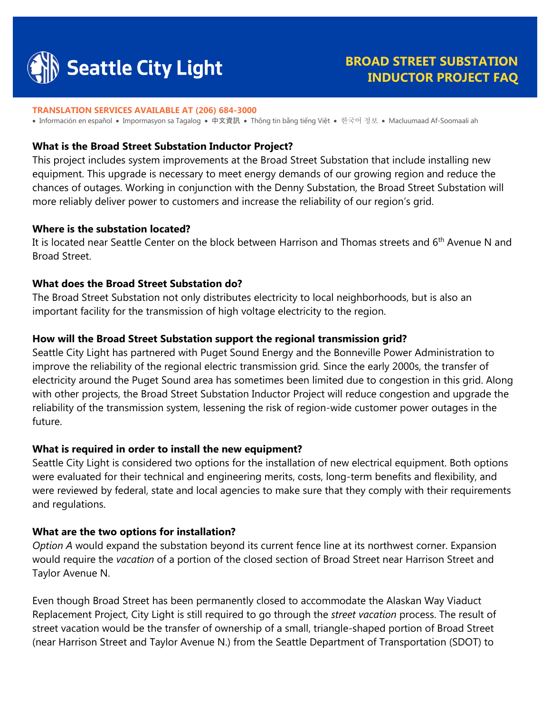

# **BROAD STREET SUBSTATION INDUCTOR PROJECT FAQ**

#### **TRANSLATION SERVICES AVAILABLE AT (206) 684-3000**

• Información en español • Impormasyon sa Tagalog • 中文資訊 • Thông tin bằng tiếng Việt • 한국어 정보 • Macluumaad Af-Soomaali ah

#### **What is the Broad Street Substation Inductor Project?**

This project includes system improvements at the Broad Street Substation that include installing new equipment. This upgrade is necessary to meet energy demands of our growing region and reduce the chances of outages. Working in conjunction with the Denny Substation, the Broad Street Substation will more reliably deliver power to customers and increase the reliability of our region's grid.

#### **Where is the substation located?**

It is located near Seattle Center on the block between Harrison and Thomas streets and 6<sup>th</sup> Avenue N and Broad Street.

#### **What does the Broad Street Substation do?**

The Broad Street Substation not only distributes electricity to local neighborhoods, but is also an important facility for the transmission of high voltage electricity to the region.

#### **How will the Broad Street Substation support the regional transmission grid?**

Seattle City Light has partnered with Puget Sound Energy and the Bonneville Power Administration to improve the reliability of the regional electric transmission grid*.* Since the early 2000s, the transfer of electricity around the Puget Sound area has sometimes been limited due to congestion in this grid. Along with other projects, the Broad Street Substation Inductor Project will reduce congestion and upgrade the reliability of the transmission system, lessening the risk of region-wide customer power outages in the future.

#### **What is required in order to install the new equipment?**

Seattle City Light is considered two options for the installation of new electrical equipment. Both options were evaluated for their technical and engineering merits, costs, long-term benefits and flexibility, and were reviewed by federal, state and local agencies to make sure that they comply with their requirements and regulations.

#### **What are the two options for installation?**

*Option A* would expand the substation beyond its current fence line at its northwest corner. Expansion would require the *vacation* of a portion of the closed section of Broad Street near Harrison Street and Taylor Avenue N.

Even though Broad Street has been permanently closed to accommodate the Alaskan Way Viaduct Replacement Project, City Light is still required to go through the *street vacation* process. The result of street vacation would be the transfer of ownership of a small, triangle-shaped portion of Broad Street (near Harrison Street and Taylor Avenue N.) from the Seattle Department of Transportation (SDOT) to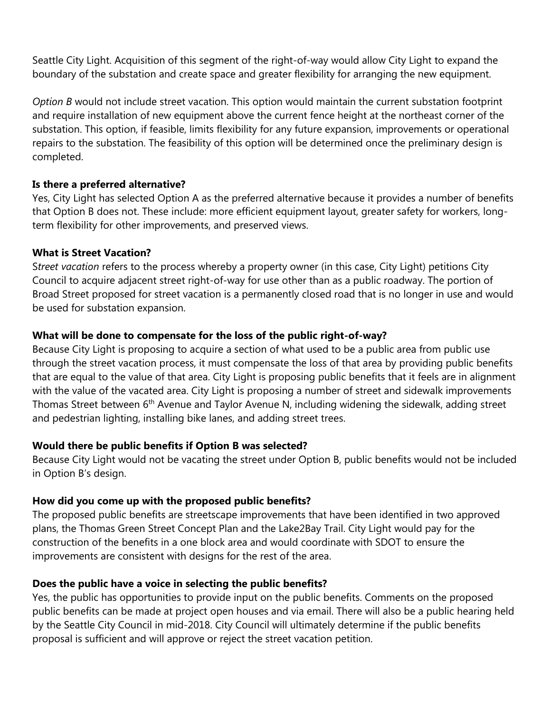Seattle City Light. Acquisition of this segment of the right-of-way would allow City Light to expand the boundary of the substation and create space and greater flexibility for arranging the new equipment.

*Option B* would not include street vacation. This option would maintain the current substation footprint and require installation of new equipment above the current fence height at the northeast corner of the substation. This option, if feasible, limits flexibility for any future expansion, improvements or operational repairs to the substation. The feasibility of this option will be determined once the preliminary design is completed.

## **Is there a preferred alternative?**

Yes, City Light has selected Option A as the preferred alternative because it provides a number of benefits that Option B does not. These include: more efficient equipment layout, greater safety for workers, longterm flexibility for other improvements, and preserved views.

## **What is Street Vacation?**

S*treet vacation* refers to the process whereby a property owner (in this case, City Light) petitions City Council to acquire adjacent street right-of-way for use other than as a public roadway. The portion of Broad Street proposed for street vacation is a permanently closed road that is no longer in use and would be used for substation expansion.

# **What will be done to compensate for the loss of the public right-of-way?**

Because City Light is proposing to acquire a section of what used to be a public area from public use through the street vacation process, it must compensate the loss of that area by providing public benefits that are equal to the value of that area. City Light is proposing public benefits that it feels are in alignment with the value of the vacated area. City Light is proposing a number of street and sidewalk improvements Thomas Street between 6<sup>th</sup> Avenue and Taylor Avenue N, including widening the sidewalk, adding street and pedestrian lighting, installing bike lanes, and adding street trees.

### **Would there be public benefits if Option B was selected?**

Because City Light would not be vacating the street under Option B, public benefits would not be included in Option B's design.

### **How did you come up with the proposed public benefits?**

The proposed public benefits are streetscape improvements that have been identified in two approved plans, the Thomas Green Street Concept Plan and the Lake2Bay Trail. City Light would pay for the construction of the benefits in a one block area and would coordinate with SDOT to ensure the improvements are consistent with designs for the rest of the area.

# **Does the public have a voice in selecting the public benefits?**

Yes, the public has opportunities to provide input on the public benefits. Comments on the proposed public benefits can be made at project open houses and via email. There will also be a public hearing held by the Seattle City Council in mid-2018. City Council will ultimately determine if the public benefits proposal is sufficient and will approve or reject the street vacation petition.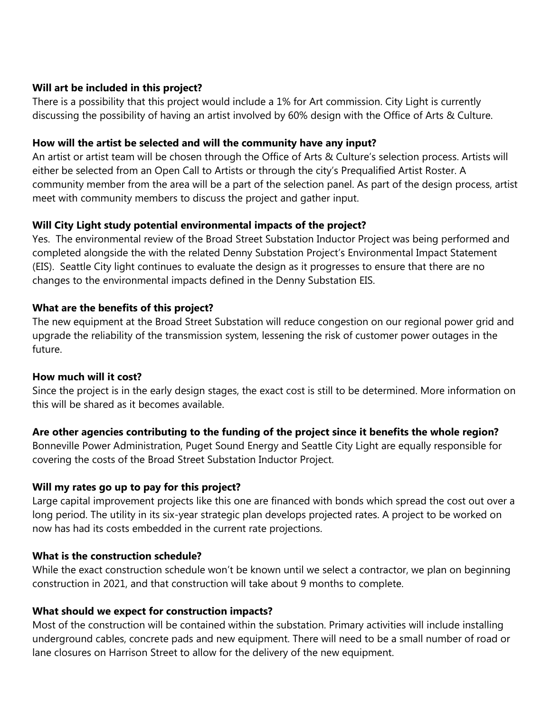# **Will art be included in this project?**

There is a possibility that this project would include a 1% for Art commission. City Light is currently discussing the possibility of having an artist involved by 60% design with the Office of Arts & Culture.

### **How will the artist be selected and will the community have any input?**

An artist or artist team will be chosen through the Office of Arts & Culture's selection process. Artists will either be selected from an Open Call to Artists or through the city's Prequalified Artist Roster. A community member from the area will be a part of the selection panel. As part of the design process, artist meet with community members to discuss the project and gather input.

# **Will City Light study potential environmental impacts of the project?**

Yes. The environmental review of the Broad Street Substation Inductor Project was being performed and completed alongside the with the related Denny Substation Project's Environmental Impact Statement (EIS). Seattle City light continues to evaluate the design as it progresses to ensure that there are no changes to the environmental impacts defined in the Denny Substation EIS.

## **What are the benefits of this project?**

The new equipment at the Broad Street Substation will reduce congestion on our regional power grid and upgrade the reliability of the transmission system, lessening the risk of customer power outages in the future.

### **How much will it cost?**

Since the project is in the early design stages, the exact cost is still to be determined. More information on this will be shared as it becomes available.

# **Are other agencies contributing to the funding of the project since it benefits the whole region?**

Bonneville Power Administration, Puget Sound Energy and Seattle City Light are equally responsible for covering the costs of the Broad Street Substation Inductor Project.

# **Will my rates go up to pay for this project?**

Large capital improvement projects like this one are financed with bonds which spread the cost out over a long period. The utility in its six-year strategic plan develops projected rates. A project to be worked on now has had its costs embedded in the current rate projections.

### **What is the construction schedule?**

While the exact construction schedule won't be known until we select a contractor, we plan on beginning construction in 2021, and that construction will take about 9 months to complete.

# **What should we expect for construction impacts?**

Most of the construction will be contained within the substation. Primary activities will include installing underground cables, concrete pads and new equipment. There will need to be a small number of road or lane closures on Harrison Street to allow for the delivery of the new equipment.